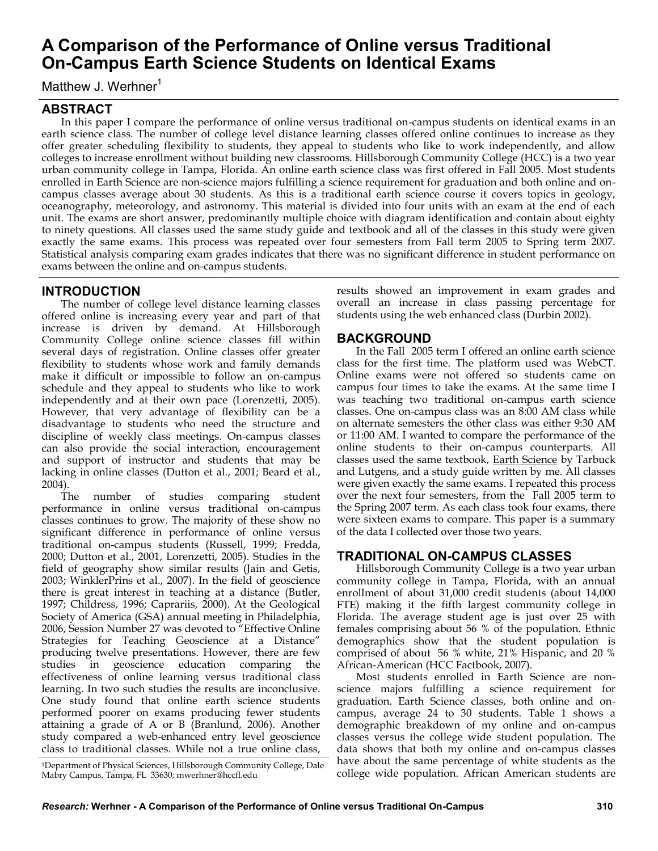# **A Comparison of the Performance of Online versus Traditional On-Campus Earth Science Students on Identical Exams**

Matthew J. Werhner<sup>1</sup>

# **ABSTRACT**

In this paper I compare the performance of online versus traditional on-campus students on identical exams in an earth science class. The number of college level distance learning classes offered online continues to increase as they offer greater scheduling flexibility to students, they appeal to students who like to work independently, and allow colleges to increase enrollment without building new classrooms. Hillsborough Community College (HCC) is a two year urban community college in Tampa, Florida. An online earth science class was first offered in Fall 2005. Most students enrolled in Earth Science are non-science majors fulfilling a science requirement for graduation and both online and oncampus classes average about 30 students. As this is a traditional earth science course it covers topics in geology, oceanography, meteorology, and astronomy. This material is divided into four units with an exam at the end of each unit. The exams are short answer, predominantly multiple choice with diagram identification and contain about eighty to ninety questions. All classes used the same study guide and textbook and all of the classes in this study were given exactly the same exams. This process was repeated over four semesters from Fall term 2005 to Spring term 2007. Statistical analysis comparing exam grades indicates that there was no significant difference in student performance on exams between the online and on-campus students.

# **INTRODUCTION**

The number of college level distance learning classes offered online is increasing every year and part of that increase is driven by demand. At Hillsborough Community College online science classes fill within several days of registration. Online classes offer greater flexibility to students whose work and family demands make it difficult or impossible to follow an on-campus schedule and they appeal to students who like to work independently and at their own pace (Lorenzetti, 2005). However, that very advantage of flexibility can be a disadvantage to students who need the structure and discipline of weekly class meetings. On-campus classes can also provide the social interaction, encouragement and support of instructor and students that may be lacking in online classes (Dutton et al., 2001; Beard et al., 2004).

The number of studies comparing student performance in online versus traditional on-campus classes continues to grow. The majority of these show no significant difference in performance of online versus traditional on-campus students (Russell, 1999; Fredda, 2000; Dutton et al., 2001, Lorenzetti, 2005). Studies in the field of geography show similar results (Jain and Getis, 2003; WinklerPrins et al., 2007). In the field of geoscience there is great interest in teaching at a distance (Butler, 1997; Childress, 1996; Caprariis, 2000). At the Geological Society of America (GSA) annual meeting in Philadelphia, 2006, Session Number 27 was devoted to "Effective Online Strategies for Teaching Geoscience at a Distance" producing twelve presentations. However, there are few studies in geoscience education comparing the effectiveness of online learning versus traditional class learning. In two such studies the results are inconclusive. One study found that online earth science students performed poorer on exams producing fewer students attaining a grade of A or B (Branlund, 2006). Another study compared a web-enhanced entry level geoscience class to traditional classes. While not a true online class,

<sup>1</sup>Department of Physical Sciences, Hillsborough Community College, Dale Mabry Campus, Tampa, FL 33630; mwerhner@hccfl.edu

results showed an improvement in exam grades and overall an increase in class passing percentage for students using the web enhanced class (Durbin 2002).

## **BACKGROUND**

In the Fall 2005 term I offered an online earth science class for the first time. The platform used was WebCT. Online exams were not offered so students came on campus four times to take the exams. At the same time I was teaching two traditional on-campus earth science classes. One on-campus class was an 8:00 AM class while on alternate semesters the other class was either 9:30 AM or 11:00 AM. I wanted to compare the performance of the online students to their on-campus counterparts. All classes used the same textbook, Earth Science by Tarbuck and Lutgens, and a study guide written by me. All classes were given exactly the same exams. I repeated this process over the next four semesters, from the Fall 2005 term to the Spring 2007 term. As each class took four exams, there were sixteen exams to compare. This paper is a summary of the data I collected over those two years.

## **TRADITIONAL ON-CAMPUS CLASSES**

Hillsborough Community College is a two year urban community college in Tampa, Florida, with an annual enrollment of about 31,000 credit students (about 14,000 FTE) making it the fifth largest community college in Florida. The average student age is just over 25 with females comprising about 56 % of the population. Ethnic demographics show that the student population is comprised of about 56 % white, 21% Hispanic, and 20 % African-American (HCC Factbook, 2007).

Most students enrolled in Earth Science are nonscience majors fulfilling a science requirement for graduation. Earth Science classes, both online and oncampus, average 24 to 30 students. Table 1 shows a demographic breakdown of my online and on-campus classes versus the college wide student population. The data shows that both my online and on-campus classes have about the same percentage of white students as the college wide population. African American students are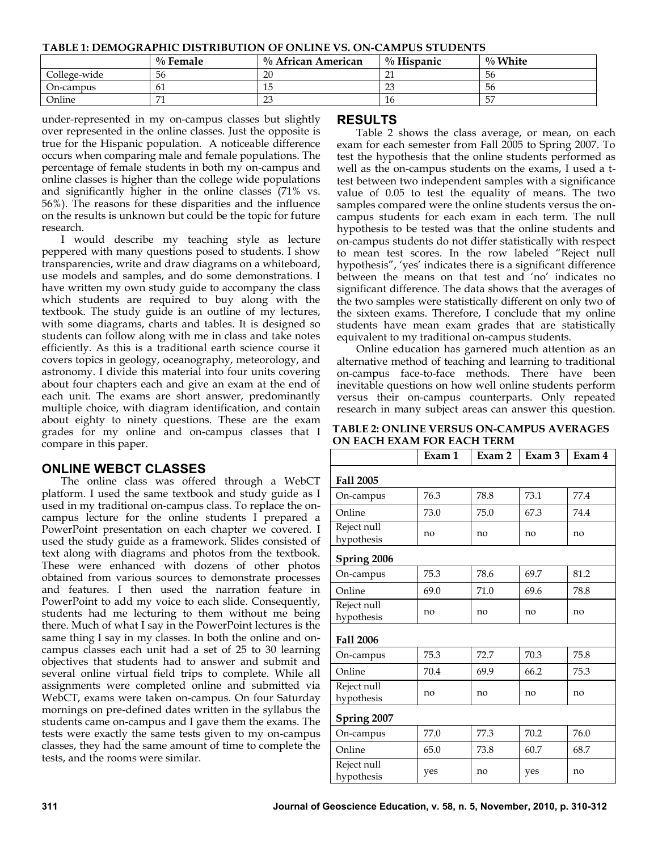**TABLE 1: DEMOGRAPHIC DISTRIBUTION OF ONLINE VS. ON-CAMPUS STUDENTS**

|              | $\%$ Female | $\%$ African American | $\%$ Hispanic | $\%$ White |
|--------------|-------------|-----------------------|---------------|------------|
| College-wide | 56          | 20                    |               | 56         |
| On-campus    | 61          | 15                    | $\cap$        | 56         |
| Online       | <b>.</b>    | 23                    | 16            | 57         |

under-represented in my on-campus classes but slightly over represented in the online classes. Just the opposite is true for the Hispanic population. A noticeable difference occurs when comparing male and female populations. The percentage of female students in both my on-campus and online classes is higher than the college wide populations and significantly higher in the online classes (71% vs. 56%). The reasons for these disparities and the influence on the results is unknown but could be the topic for future research.

I would describe my teaching style as lecture peppered with many questions posed to students. I show transparencies, write and draw diagrams on a whiteboard, use models and samples, and do some demonstrations. I have written my own study guide to accompany the class which students are required to buy along with the textbook. The study guide is an outline of my lectures, with some diagrams, charts and tables. It is designed so students can follow along with me in class and take notes efficiently. As this is a traditional earth science course it covers topics in geology, oceanography, meteorology, and astronomy. I divide this material into four units covering about four chapters each and give an exam at the end of each unit. The exams are short answer, predominantly multiple choice, with diagram identification, and contain about eighty to ninety questions. These are the exam grades for my online and on-campus classes that I compare in this paper.

## **ONLINE WEBCT CLASSES**

The online class was offered through a WebCT platform. I used the same textbook and study guide as I used in my traditional on-campus class. To replace the oncampus lecture for the online students I prepared a PowerPoint presentation on each chapter we covered. I used the study guide as a framework. Slides consisted of text along with diagrams and photos from the textbook. These were enhanced with dozens of other photos obtained from various sources to demonstrate processes and features. I then used the narration feature in PowerPoint to add my voice to each slide. Consequently, students had me lecturing to them without me being there. Much of what I say in the PowerPoint lectures is the same thing I say in my classes. In both the online and oncampus classes each unit had a set of 25 to 30 learning objectives that students had to answer and submit and several online virtual field trips to complete. While all assignments were completed online and submitted via WebCT, exams were taken on-campus. On four Saturday mornings on pre-defined dates written in the syllabus the students came on-campus and I gave them the exams. The tests were exactly the same tests given to my on-campus classes, they had the same amount of time to complete the tests, and the rooms were similar.

### **RESULTS**

Table 2 shows the class average, or mean, on each exam for each semester from Fall 2005 to Spring 2007. To test the hypothesis that the online students performed as well as the on-campus students on the exams, I used a ttest between two independent samples with a significance value of 0.05 to test the equality of means. The two samples compared were the online students versus the oncampus students for each exam in each term. The null hypothesis to be tested was that the online students and on-campus students do not differ statistically with respect to mean test scores. In the row labeled "Reject null hypothesis", 'yes' indicates there is a significant difference between the means on that test and 'no' indicates no significant difference. The data shows that the averages of the two samples were statistically different on only two of the sixteen exams. Therefore, I conclude that my online students have mean exam grades that are statistically equivalent to my traditional on-campus students.

Online education has garnered much attention as an alternative method of teaching and learning to traditional on-campus face-to-face methods. There have been inevitable questions on how well online students perform versus their on-campus counterparts. Only repeated research in many subject areas can answer this question.

| <b>TABLE 2: ONLINE VERSUS ON-CAMPUS AVERAGES</b> |
|--------------------------------------------------|
| ON EACH EXAM FOR EACH TERM                       |

|                           | Exam 1 | Exam 2 | Exam 3 | Exam 4 |  |  |  |
|---------------------------|--------|--------|--------|--------|--|--|--|
| Fall 2005                 |        |        |        |        |  |  |  |
| On-campus                 | 76.3   | 78.8   | 73.1   | 77.4   |  |  |  |
| Online                    | 73.0   | 75.0   | 67.3   | 74.4   |  |  |  |
| Reject null<br>hypothesis | no     | no     | no     | no     |  |  |  |
| Spring 2006               |        |        |        |        |  |  |  |
| On-campus                 | 75.3   | 78.6   | 69.7   | 81.2   |  |  |  |
| Online                    | 69.0   | 71.0   | 69.6   | 78.8   |  |  |  |
| Reject null<br>hypothesis | no     | no     | no     | no     |  |  |  |
| <b>Fall 2006</b>          |        |        |        |        |  |  |  |
| On-campus                 | 75.3   | 72.7   | 70.3   | 75.8   |  |  |  |
| Online                    | 70.4   | 69.9   | 66.2   | 75.3   |  |  |  |
| Reject null<br>hypothesis | no     | no     | no     | no     |  |  |  |
| Spring 2007               |        |        |        |        |  |  |  |
| On-campus                 | 77.0   | 77.3   | 70.2   | 76.0   |  |  |  |
| Online                    | 65.0   | 73.8   | 60.7   | 68.7   |  |  |  |
| Reject null<br>hypothesis | yes    | no     | yes    | no     |  |  |  |